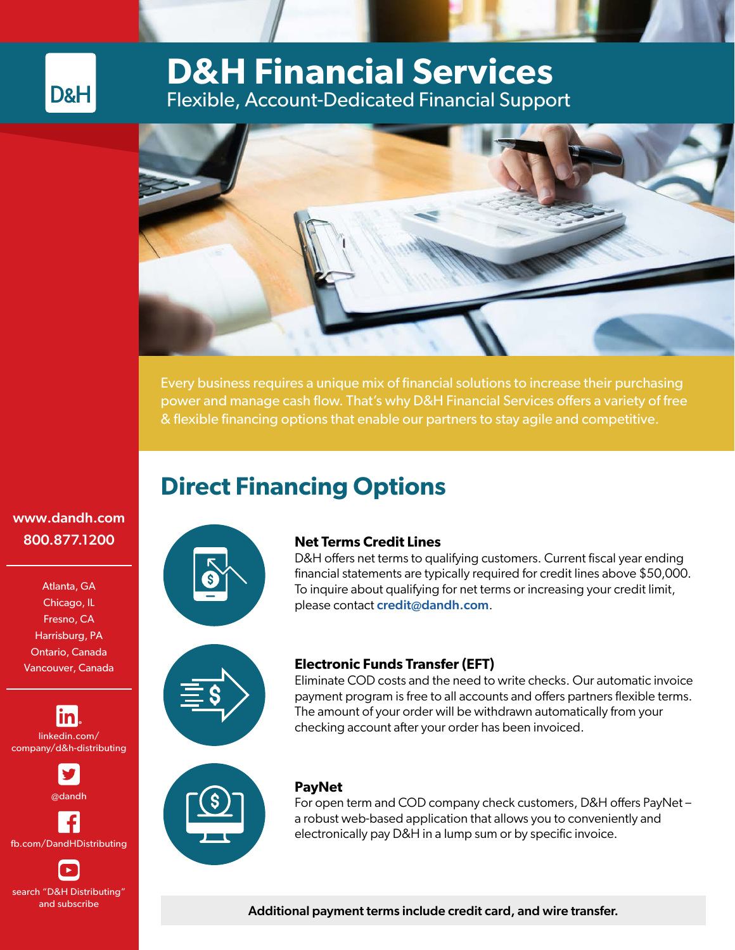# **D&H Financial Services** Flexible, Account-Dedicated Financial Support



Every business requires a unique mix of financial solutions to increase their purchasing power and manage cash flow. That's why D&H Financial Services offers a variety of free & flexible financing options that enable our partners to stay agile and competitive.

# **Direct Financing Options**

### [www.dandh.com](http://www.dandh.com ) 800.877.1200

D&H

Atlanta, GA Chicago, IL Fresno, CA Harrisburg, PA Ontario, Canada Vancouver, Canada

linkedin.com/ company/d&h-distributing

@dandh

fb.com/DandHDistributing

search "D&H Distributing" and subscribe



#### **Net Terms Credit Lines**

D&H offers net terms to qualifying customers. Current fiscal year ending financial statements are typically required for credit lines above \$50,000. To inquire about qualifying for net terms or increasing your credit limit, please contact [credit@dandh.com](mailto:credit%40dandh.com?subject=).



#### **Electronic Funds Transfer (EFT)**

Eliminate COD costs and the need to write checks. Our automatic invoice payment program is free to all accounts and offers partners flexible terms. The amount of your order will be withdrawn automatically from your checking account after your order has been invoiced.



#### **PayNet**

For open term and COD company check customers, D&H offers PayNet – a robust web-based application that allows you to conveniently and electronically pay D&H in a lump sum or by specific invoice.

Additional payment terms include credit card, and wire transfer.